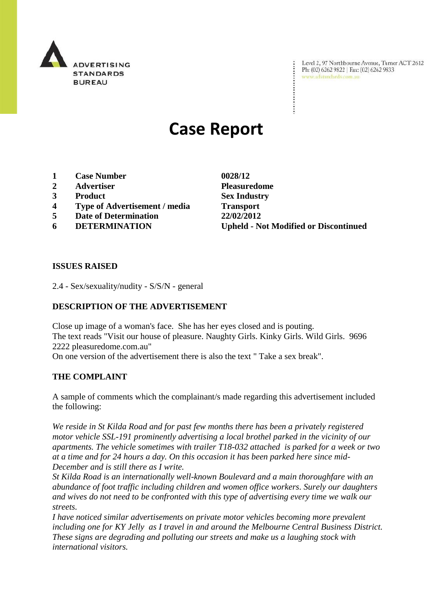

Level 2, 97 Northbourne Avenue, Turner ACT 2612 Ph: (02) 6262 9822 | Fax: (02) 6262 9833 www.adstandards.com.au

# **Case Report**

- **1 Case Number 0028/12**
- **2 Advertiser Pleasuredome**
- **3 Product Sex Industry**
- **4 Type of Advertisement / media Transport**
- **5 Date of Determination 22/02/2012**
- 

**6 DETERMINATION Upheld - Not Modified or Discontinued**

#### **ISSUES RAISED**

2.4 - Sex/sexuality/nudity - S/S/N - general

# **DESCRIPTION OF THE ADVERTISEMENT**

Close up image of a woman's face. She has her eyes closed and is pouting. The text reads "Visit our house of pleasure. Naughty Girls. Kinky Girls. Wild Girls. 9696 2222 pleasuredome.com.au" On one version of the advertisement there is also the text " Take a sex break".

# **THE COMPLAINT**

A sample of comments which the complainant/s made regarding this advertisement included the following:

*We reside in St Kilda Road and for past few months there has been a privately registered motor vehicle SSL-191 prominently advertising a local brothel parked in the vicinity of our apartments. The vehicle sometimes with trailer T18-032 attached is parked for a week or two at a time and for 24 hours a day. On this occasion it has been parked here since mid-December and is still there as I write.*

*St Kilda Road is an internationally well-known Boulevard and a main thoroughfare with an abundance of foot traffic including children and women office workers. Surely our daughters and wives do not need to be confronted with this type of advertising every time we walk our streets.*

*I have noticed similar advertisements on private motor vehicles becoming more prevalent including one for KY Jelly as I travel in and around the Melbourne Central Business District. These signs are degrading and polluting our streets and make us a laughing stock with international visitors.*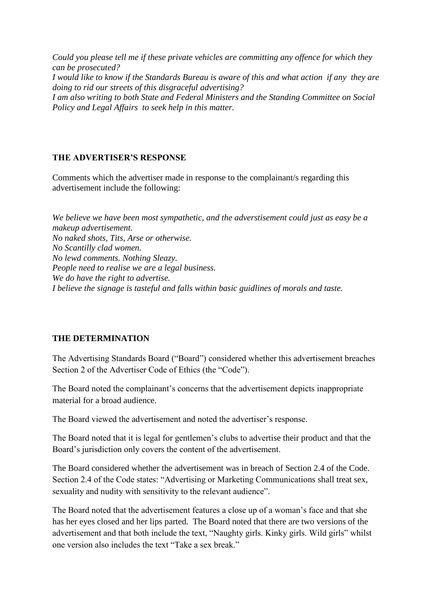*Could you please tell me if these private vehicles are committing any offence for which they can be prosecuted? I would like to know if the Standards Bureau is aware of this and what action if any they are doing to rid our streets of this disgraceful advertising? I am also writing to both State and Federal Ministers and the Standing Committee on Social Policy and Legal Affairs to seek help in this matter.*

#### **THE ADVERTISER'S RESPONSE**

Comments which the advertiser made in response to the complainant/s regarding this advertisement include the following:

*We believe we have been most sympathetic, and the adverstisement could just as easy be a makeup advertisement. No naked shots, Tits, Arse or otherwise. No Scantilly clad women. No lewd comments. Nothing Sleazy. People need to realise we are a legal business. We do have the right to advertise. I believe the signage is tasteful and falls within basic guidlines of morals and taste.*

#### **THE DETERMINATION**

The Advertising Standards Board ("Board") considered whether this advertisement breaches Section 2 of the Advertiser Code of Ethics (the "Code").

The Board noted the complainant's concerns that the advertisement depicts inappropriate material for a broad audience.

The Board viewed the advertisement and noted the advertiser"s response.

The Board noted that it is legal for gentlemen"s clubs to advertise their product and that the Board"s jurisdiction only covers the content of the advertisement.

The Board considered whether the advertisement was in breach of Section 2.4 of the Code. Section 2.4 of the Code states: "Advertising or Marketing Communications shall treat sex, sexuality and nudity with sensitivity to the relevant audience".

The Board noted that the advertisement features a close up of a woman"s face and that she has her eyes closed and her lips parted. The Board noted that there are two versions of the advertisement and that both include the text, "Naughty girls. Kinky girls. Wild girls" whilst one version also includes the text "Take a sex break."